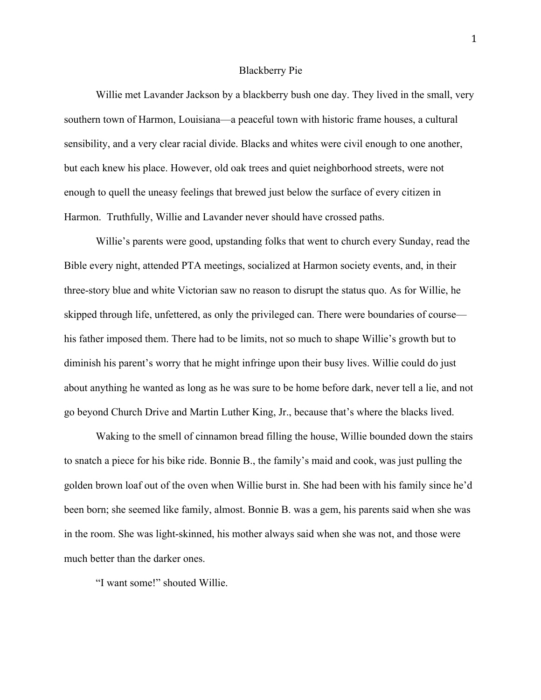## Blackberry Pie

Willie met Lavander Jackson by a blackberry bush one day. They lived in the small, very southern town of Harmon, Louisiana—a peaceful town with historic frame houses, a cultural sensibility, and a very clear racial divide. Blacks and whites were civil enough to one another, but each knew his place. However, old oak trees and quiet neighborhood streets, were not enough to quell the uneasy feelings that brewed just below the surface of every citizen in Harmon. Truthfully, Willie and Lavander never should have crossed paths.

Willie's parents were good, upstanding folks that went to church every Sunday, read the Bible every night, attended PTA meetings, socialized at Harmon society events, and, in their three-story blue and white Victorian saw no reason to disrupt the status quo. As for Willie, he skipped through life, unfettered, as only the privileged can. There were boundaries of course his father imposed them. There had to be limits, not so much to shape Willie's growth but to diminish his parent's worry that he might infringe upon their busy lives. Willie could do just about anything he wanted as long as he was sure to be home before dark, never tell a lie, and not go beyond Church Drive and Martin Luther King, Jr., because that's where the blacks lived.

Waking to the smell of cinnamon bread filling the house, Willie bounded down the stairs to snatch a piece for his bike ride. Bonnie B., the family's maid and cook, was just pulling the golden brown loaf out of the oven when Willie burst in. She had been with his family since he'd been born; she seemed like family, almost. Bonnie B. was a gem, his parents said when she was in the room. She was light-skinned, his mother always said when she was not, and those were much better than the darker ones.

"I want some!" shouted Willie.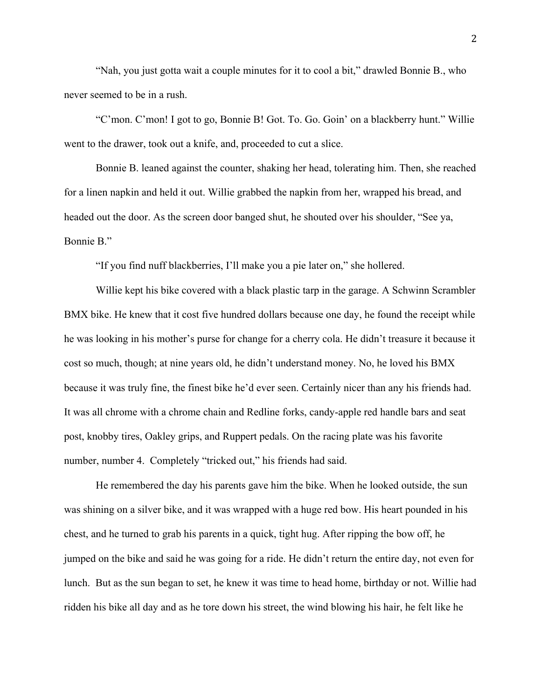"Nah, you just gotta wait a couple minutes for it to cool a bit," drawled Bonnie B., who never seemed to be in a rush.

"C'mon. C'mon! I got to go, Bonnie B! Got. To. Go. Goin' on a blackberry hunt." Willie went to the drawer, took out a knife, and, proceeded to cut a slice.

Bonnie B. leaned against the counter, shaking her head, tolerating him. Then, she reached for a linen napkin and held it out. Willie grabbed the napkin from her, wrapped his bread, and headed out the door. As the screen door banged shut, he shouted over his shoulder, "See ya, Bonnie B."

"If you find nuff blackberries, I'll make you a pie later on," she hollered.

Willie kept his bike covered with a black plastic tarp in the garage. A Schwinn Scrambler BMX bike. He knew that it cost five hundred dollars because one day, he found the receipt while he was looking in his mother's purse for change for a cherry cola. He didn't treasure it because it cost so much, though; at nine years old, he didn't understand money. No, he loved his BMX because it was truly fine, the finest bike he'd ever seen. Certainly nicer than any his friends had. It was all chrome with a chrome chain and Redline forks, candy-apple red handle bars and seat post, knobby tires, Oakley grips, and Ruppert pedals. On the racing plate was his favorite number, number 4. Completely "tricked out," his friends had said.

He remembered the day his parents gave him the bike. When he looked outside, the sun was shining on a silver bike, and it was wrapped with a huge red bow. His heart pounded in his chest, and he turned to grab his parents in a quick, tight hug. After ripping the bow off, he jumped on the bike and said he was going for a ride. He didn't return the entire day, not even for lunch. But as the sun began to set, he knew it was time to head home, birthday or not. Willie had ridden his bike all day and as he tore down his street, the wind blowing his hair, he felt like he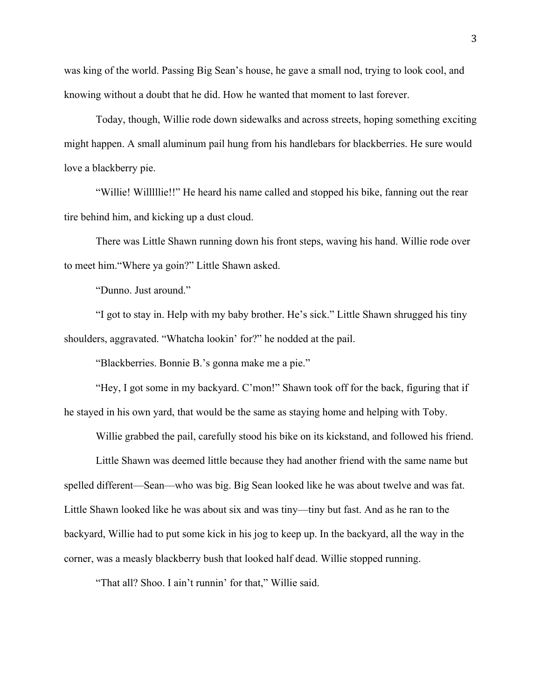was king of the world. Passing Big Sean's house, he gave a small nod, trying to look cool, and knowing without a doubt that he did. How he wanted that moment to last forever.

Today, though, Willie rode down sidewalks and across streets, hoping something exciting might happen. A small aluminum pail hung from his handlebars for blackberries. He sure would love a blackberry pie.

"Willie! Willlllie!!" He heard his name called and stopped his bike, fanning out the rear tire behind him, and kicking up a dust cloud.

There was Little Shawn running down his front steps, waving his hand. Willie rode over to meet him."Where ya goin?" Little Shawn asked.

"Dunno. Just around."

"I got to stay in. Help with my baby brother. He's sick." Little Shawn shrugged his tiny shoulders, aggravated. "Whatcha lookin' for?" he nodded at the pail.

"Blackberries. Bonnie B.'s gonna make me a pie."

"Hey, I got some in my backyard. C'mon!" Shawn took off for the back, figuring that if he stayed in his own yard, that would be the same as staying home and helping with Toby.

Willie grabbed the pail, carefully stood his bike on its kickstand, and followed his friend.

Little Shawn was deemed little because they had another friend with the same name but spelled different—Sean—who was big. Big Sean looked like he was about twelve and was fat. Little Shawn looked like he was about six and was tiny—tiny but fast. And as he ran to the backyard, Willie had to put some kick in his jog to keep up. In the backyard, all the way in the corner, was a measly blackberry bush that looked half dead. Willie stopped running.

"That all? Shoo. I ain't runnin' for that," Willie said.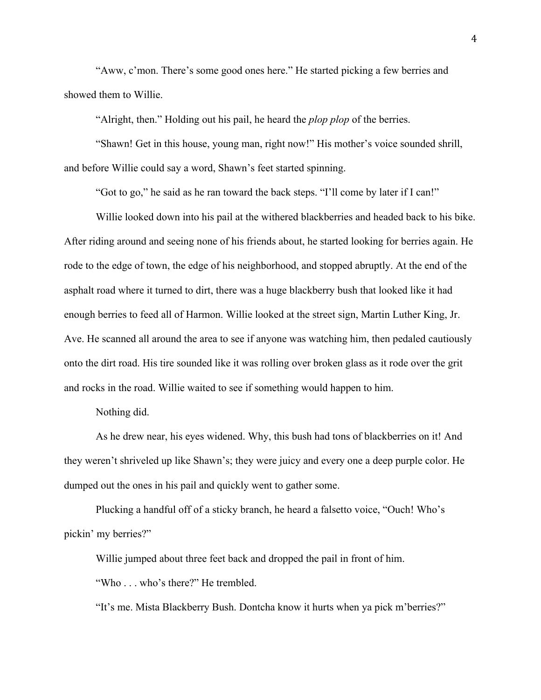"Aww, c'mon. There's some good ones here." He started picking a few berries and showed them to Willie.

"Alright, then." Holding out his pail, he heard the *plop plop* of the berries.

"Shawn! Get in this house, young man, right now!" His mother's voice sounded shrill, and before Willie could say a word, Shawn's feet started spinning.

"Got to go," he said as he ran toward the back steps. "I'll come by later if I can!"

Willie looked down into his pail at the withered blackberries and headed back to his bike. After riding around and seeing none of his friends about, he started looking for berries again. He rode to the edge of town, the edge of his neighborhood, and stopped abruptly. At the end of the asphalt road where it turned to dirt, there was a huge blackberry bush that looked like it had enough berries to feed all of Harmon. Willie looked at the street sign, Martin Luther King, Jr. Ave. He scanned all around the area to see if anyone was watching him, then pedaled cautiously onto the dirt road. His tire sounded like it was rolling over broken glass as it rode over the grit and rocks in the road. Willie waited to see if something would happen to him.

## Nothing did.

As he drew near, his eyes widened. Why, this bush had tons of blackberries on it! And they weren't shriveled up like Shawn's; they were juicy and every one a deep purple color. He dumped out the ones in his pail and quickly went to gather some.

Plucking a handful off of a sticky branch, he heard a falsetto voice, "Ouch! Who's pickin' my berries?"

Willie jumped about three feet back and dropped the pail in front of him.

"Who . . . who's there?" He trembled.

"It's me. Mista Blackberry Bush. Dontcha know it hurts when ya pick m'berries?"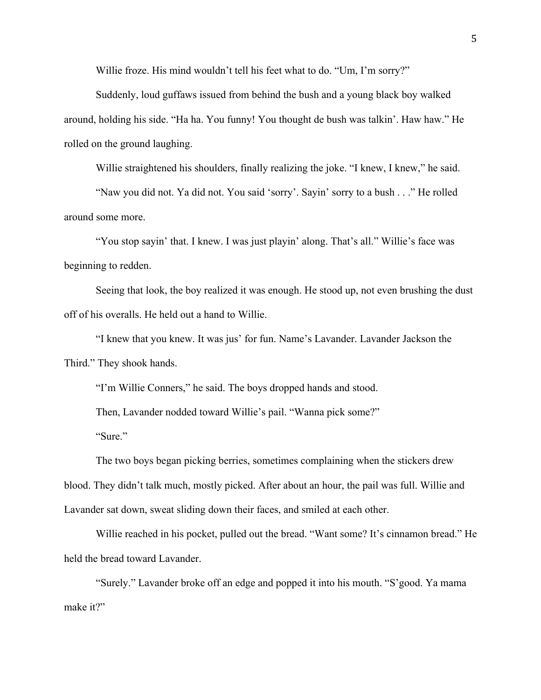Willie froze. His mind wouldn't tell his feet what to do. "Um, I'm sorry?"

Suddenly, loud guffaws issued from behind the bush and a young black boy walked around, holding his side. "Ha ha. You funny! You thought de bush was talkin'. Haw haw." He rolled on the ground laughing.

Willie straightened his shoulders, finally realizing the joke. "I knew, I knew," he said.

"Naw you did not. Ya did not. You said 'sorry'. Sayin' sorry to a bush . . ." He rolled around some more.

"You stop sayin' that. I knew. I was just playin' along. That's all." Willie's face was beginning to redden.

Seeing that look, the boy realized it was enough. He stood up, not even brushing the dust off of his overalls. He held out a hand to Willie.

"I knew that you knew. It was jus' for fun. Name's Lavander. Lavander Jackson the Third." They shook hands.

"I'm Willie Conners," he said. The boys dropped hands and stood.

Then, Lavander nodded toward Willie's pail. "Wanna pick some?"

"Sure."

The two boys began picking berries, sometimes complaining when the stickers drew blood. They didn't talk much, mostly picked. After about an hour, the pail was full. Willie and Lavander sat down, sweat sliding down their faces, and smiled at each other.

Willie reached in his pocket, pulled out the bread. "Want some? It's cinnamon bread." He held the bread toward Lavander.

"Surely." Lavander broke off an edge and popped it into his mouth. "S'good. Ya mama make it?"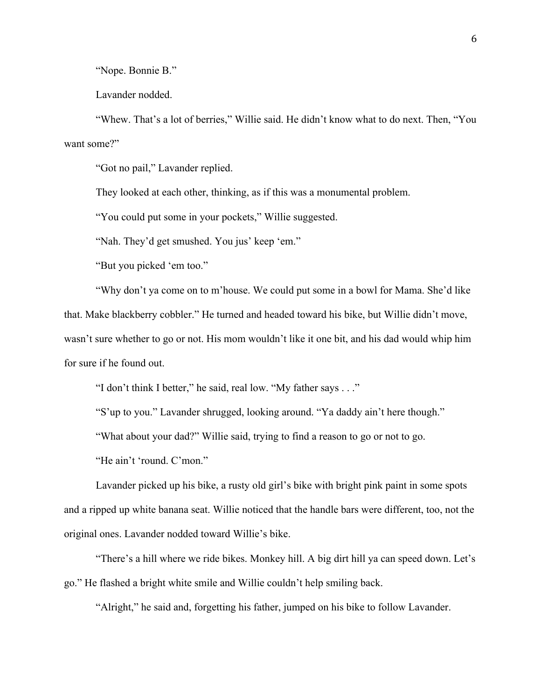"Nope. Bonnie B."

Lavander nodded.

"Whew. That's a lot of berries," Willie said. He didn't know what to do next. Then, "You want some?"

"Got no pail," Lavander replied.

They looked at each other, thinking, as if this was a monumental problem.

"You could put some in your pockets," Willie suggested.

"Nah. They'd get smushed. You jus' keep 'em."

"But you picked 'em too."

"Why don't ya come on to m'house. We could put some in a bowl for Mama. She'd like that. Make blackberry cobbler." He turned and headed toward his bike, but Willie didn't move, wasn't sure whether to go or not. His mom wouldn't like it one bit, and his dad would whip him for sure if he found out.

"I don't think I better," he said, real low. "My father says . . ."

"S'up to you." Lavander shrugged, looking around. "Ya daddy ain't here though."

"What about your dad?" Willie said, trying to find a reason to go or not to go.

"He ain't 'round. C'mon."

Lavander picked up his bike, a rusty old girl's bike with bright pink paint in some spots and a ripped up white banana seat. Willie noticed that the handle bars were different, too, not the original ones. Lavander nodded toward Willie's bike.

"There's a hill where we ride bikes. Monkey hill. A big dirt hill ya can speed down. Let's go." He flashed a bright white smile and Willie couldn't help smiling back.

"Alright," he said and, forgetting his father, jumped on his bike to follow Lavander.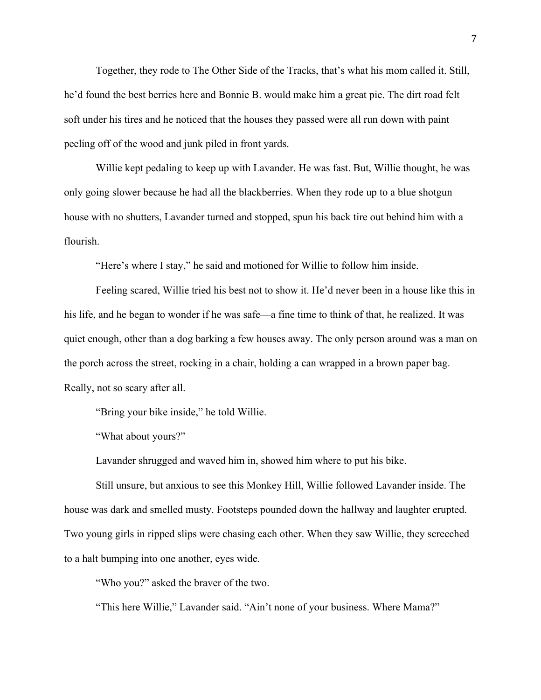Together, they rode to The Other Side of the Tracks, that's what his mom called it. Still, he'd found the best berries here and Bonnie B. would make him a great pie. The dirt road felt soft under his tires and he noticed that the houses they passed were all run down with paint peeling off of the wood and junk piled in front yards.

Willie kept pedaling to keep up with Lavander. He was fast. But, Willie thought, he was only going slower because he had all the blackberries. When they rode up to a blue shotgun house with no shutters, Lavander turned and stopped, spun his back tire out behind him with a flourish.

"Here's where I stay," he said and motioned for Willie to follow him inside.

Feeling scared, Willie tried his best not to show it. He'd never been in a house like this in his life, and he began to wonder if he was safe—a fine time to think of that, he realized. It was quiet enough, other than a dog barking a few houses away. The only person around was a man on the porch across the street, rocking in a chair, holding a can wrapped in a brown paper bag. Really, not so scary after all.

"Bring your bike inside," he told Willie.

"What about yours?"

Lavander shrugged and waved him in, showed him where to put his bike.

Still unsure, but anxious to see this Monkey Hill, Willie followed Lavander inside. The house was dark and smelled musty. Footsteps pounded down the hallway and laughter erupted. Two young girls in ripped slips were chasing each other. When they saw Willie, they screeched to a halt bumping into one another, eyes wide.

"Who you?" asked the braver of the two.

"This here Willie," Lavander said. "Ain't none of your business. Where Mama?"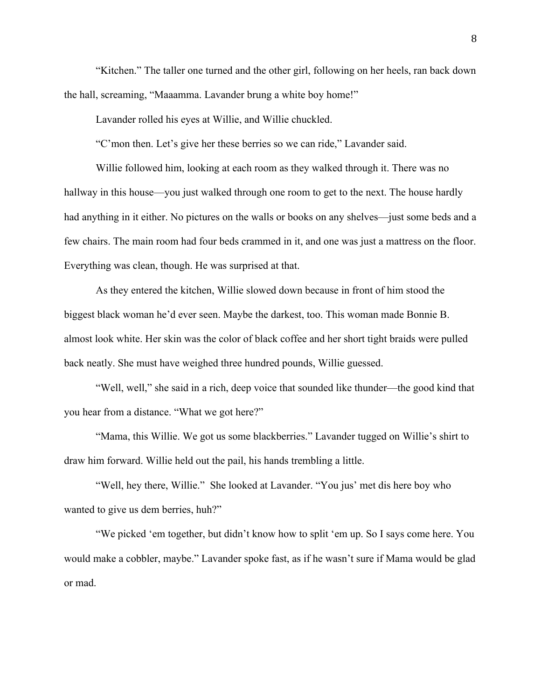"Kitchen." The taller one turned and the other girl, following on her heels, ran back down the hall, screaming, "Maaamma. Lavander brung a white boy home!"

Lavander rolled his eyes at Willie, and Willie chuckled.

"C'mon then. Let's give her these berries so we can ride," Lavander said.

Willie followed him, looking at each room as they walked through it. There was no hallway in this house—you just walked through one room to get to the next. The house hardly had anything in it either. No pictures on the walls or books on any shelves—just some beds and a few chairs. The main room had four beds crammed in it, and one was just a mattress on the floor. Everything was clean, though. He was surprised at that.

As they entered the kitchen, Willie slowed down because in front of him stood the biggest black woman he'd ever seen. Maybe the darkest, too. This woman made Bonnie B. almost look white. Her skin was the color of black coffee and her short tight braids were pulled back neatly. She must have weighed three hundred pounds, Willie guessed.

"Well, well," she said in a rich, deep voice that sounded like thunder—the good kind that you hear from a distance. "What we got here?"

"Mama, this Willie. We got us some blackberries." Lavander tugged on Willie's shirt to draw him forward. Willie held out the pail, his hands trembling a little.

"Well, hey there, Willie." She looked at Lavander. "You jus' met dis here boy who wanted to give us dem berries, huh?"

"We picked 'em together, but didn't know how to split 'em up. So I says come here. You would make a cobbler, maybe." Lavander spoke fast, as if he wasn't sure if Mama would be glad or mad.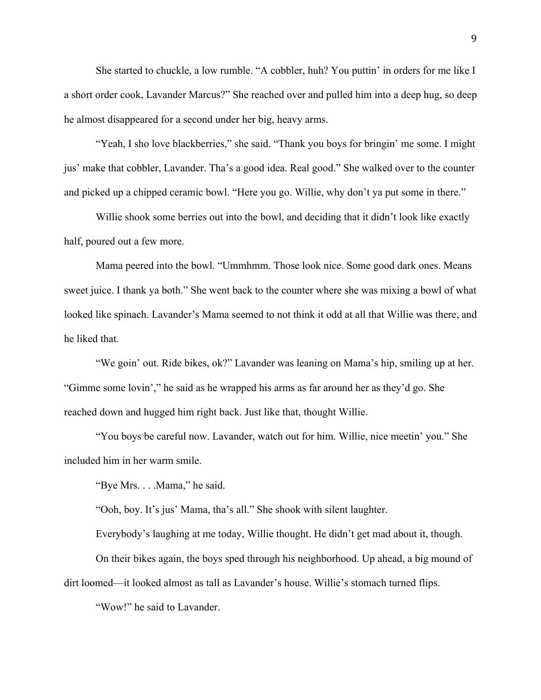She started to chuckle, a low rumble. "A cobbler, huh? You puttin' in orders for me like I a short order cook, Lavander Marcus?" She reached over and pulled him into a deep hug, so deep he almost disappeared for a second under her big, heavy arms.

"Yeah, I sho love blackberries," she said. "Thank you boys for bringin' me some. I might jus' make that cobbler, Lavander. Tha's a good idea. Real good." She walked over to the counter and picked up a chipped ceramic bowl. "Here you go. Willie, why don't ya put some in there."

Willie shook some berries out into the bowl, and deciding that it didn't look like exactly half, poured out a few more.

Mama peered into the bowl. "Ummhmm. Those look nice. Some good dark ones. Means sweet juice. I thank ya both." She went back to the counter where she was mixing a bowl of what looked like spinach. Lavander's Mama seemed to not think it odd at all that Willie was there, and he liked that.

"We goin' out. Ride bikes, ok?" Lavander was leaning on Mama's hip, smiling up at her. "Gimme some lovin'," he said as he wrapped his arms as far around her as they'd go. She reached down and hugged him right back. Just like that, thought Willie.

"You boys be careful now. Lavander, watch out for him. Willie, nice meetin' you." She included him in her warm smile.

"Bye Mrs. . . .Mama," he said.

"Ooh, boy. It's jus' Mama, tha's all." She shook with silent laughter.

Everybody's laughing at me today, Willie thought. He didn't get mad about it, though.

On their bikes again, the boys sped through his neighborhood. Up ahead, a big mound of dirt loomed—it looked almost as tall as Lavander's house. Willie's stomach turned flips.

"Wow!" he said to Lavander.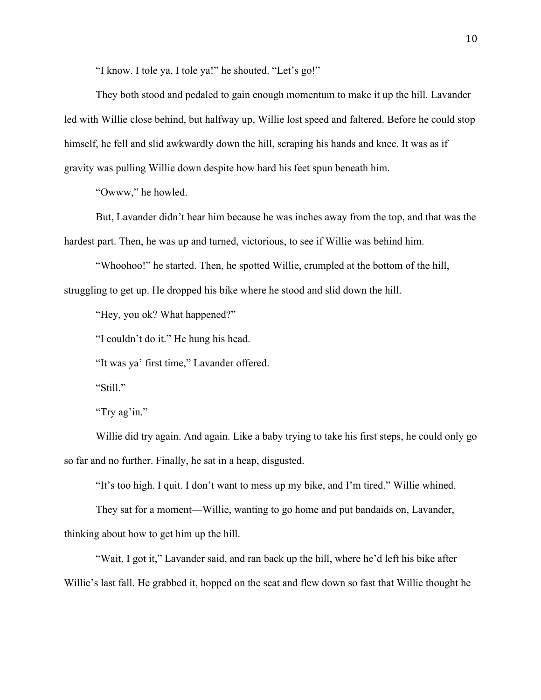"I know. I tole ya, I tole ya!" he shouted. "Let's go!"

They both stood and pedaled to gain enough momentum to make it up the hill. Lavander led with Willie close behind, but halfway up, Willie lost speed and faltered. Before he could stop himself, he fell and slid awkwardly down the hill, scraping his hands and knee. It was as if gravity was pulling Willie down despite how hard his feet spun beneath him.

"Owww," he howled.

But, Lavander didn't hear him because he was inches away from the top, and that was the hardest part. Then, he was up and turned, victorious, to see if Willie was behind him.

"Whoohoo!" he started. Then, he spotted Willie, crumpled at the bottom of the hill, struggling to get up. He dropped his bike where he stood and slid down the hill.

"Hey, you ok? What happened?"

"I couldn't do it." He hung his head.

"It was ya' first time," Lavander offered.

"Still."

"Try ag'in."

Willie did try again. And again. Like a baby trying to take his first steps, he could only go so far and no further. Finally, he sat in a heap, disgusted.

"It's too high. I quit. I don't want to mess up my bike, and I'm tired." Willie whined.

They sat for a moment—Willie, wanting to go home and put bandaids on, Lavander, thinking about how to get him up the hill.

"Wait, I got it," Lavander said, and ran back up the hill, where he'd left his bike after Willie's last fall. He grabbed it, hopped on the seat and flew down so fast that Willie thought he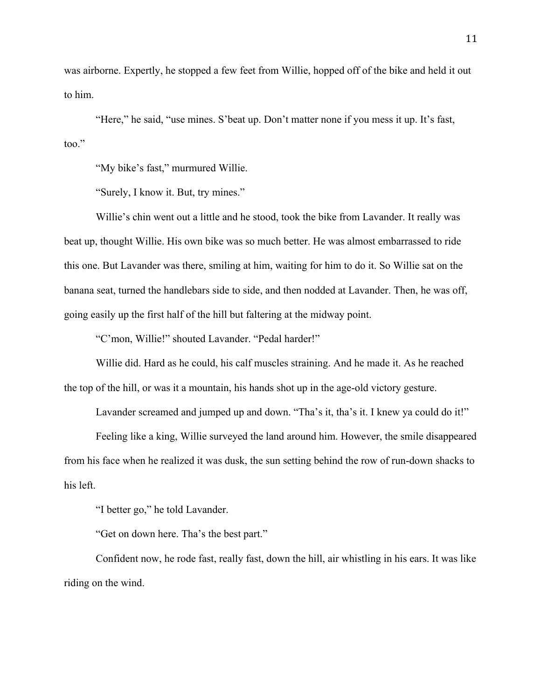was airborne. Expertly, he stopped a few feet from Willie, hopped off of the bike and held it out to him.

"Here," he said, "use mines. S'beat up. Don't matter none if you mess it up. It's fast, too."

"My bike's fast," murmured Willie.

"Surely, I know it. But, try mines."

Willie's chin went out a little and he stood, took the bike from Lavander. It really was beat up, thought Willie. His own bike was so much better. He was almost embarrassed to ride this one. But Lavander was there, smiling at him, waiting for him to do it. So Willie sat on the banana seat, turned the handlebars side to side, and then nodded at Lavander. Then, he was off, going easily up the first half of the hill but faltering at the midway point.

"C'mon, Willie!" shouted Lavander. "Pedal harder!"

Willie did. Hard as he could, his calf muscles straining. And he made it. As he reached the top of the hill, or was it a mountain, his hands shot up in the age-old victory gesture.

Lavander screamed and jumped up and down. "Tha's it, tha's it. I knew ya could do it!"

Feeling like a king, Willie surveyed the land around him. However, the smile disappeared from his face when he realized it was dusk, the sun setting behind the row of run-down shacks to his left.

"I better go," he told Lavander.

"Get on down here. Tha's the best part."

Confident now, he rode fast, really fast, down the hill, air whistling in his ears. It was like riding on the wind.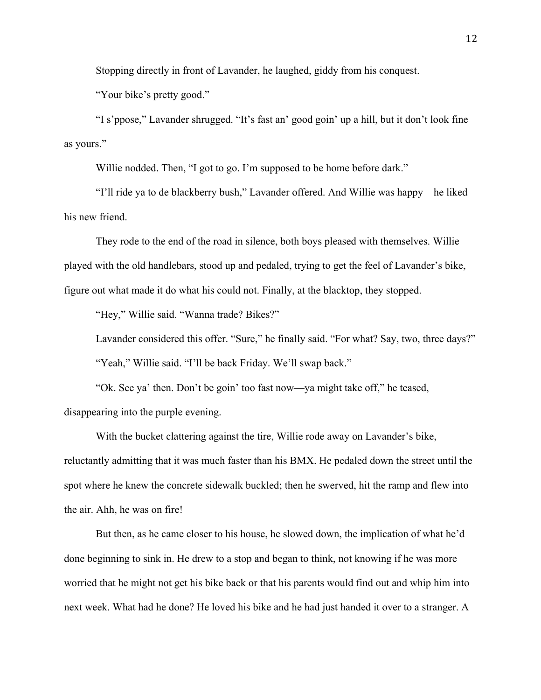Stopping directly in front of Lavander, he laughed, giddy from his conquest.

"Your bike's pretty good."

"I s'ppose," Lavander shrugged. "It's fast an' good goin' up a hill, but it don't look fine as yours."

Willie nodded. Then, "I got to go. I'm supposed to be home before dark."

"I'll ride ya to de blackberry bush," Lavander offered. And Willie was happy—he liked his new friend.

They rode to the end of the road in silence, both boys pleased with themselves. Willie played with the old handlebars, stood up and pedaled, trying to get the feel of Lavander's bike, figure out what made it do what his could not. Finally, at the blacktop, they stopped.

"Hey," Willie said. "Wanna trade? Bikes?"

Lavander considered this offer. "Sure," he finally said. "For what? Say, two, three days?" "Yeah," Willie said. "I'll be back Friday. We'll swap back."

"Ok. See ya' then. Don't be goin' too fast now—ya might take off," he teased, disappearing into the purple evening.

With the bucket clattering against the tire, Willie rode away on Lavander's bike, reluctantly admitting that it was much faster than his BMX. He pedaled down the street until the spot where he knew the concrete sidewalk buckled; then he swerved, hit the ramp and flew into the air. Ahh, he was on fire!

But then, as he came closer to his house, he slowed down, the implication of what he'd done beginning to sink in. He drew to a stop and began to think, not knowing if he was more worried that he might not get his bike back or that his parents would find out and whip him into next week. What had he done? He loved his bike and he had just handed it over to a stranger. A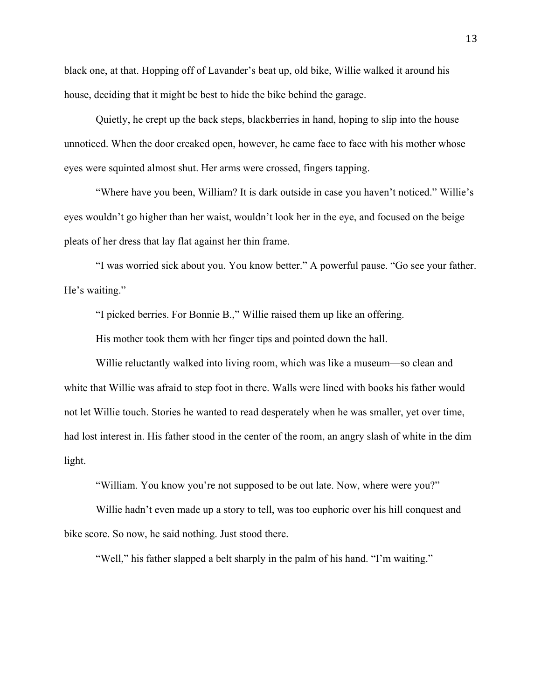black one, at that. Hopping off of Lavander's beat up, old bike, Willie walked it around his house, deciding that it might be best to hide the bike behind the garage.

Quietly, he crept up the back steps, blackberries in hand, hoping to slip into the house unnoticed. When the door creaked open, however, he came face to face with his mother whose eyes were squinted almost shut. Her arms were crossed, fingers tapping.

"Where have you been, William? It is dark outside in case you haven't noticed." Willie's eyes wouldn't go higher than her waist, wouldn't look her in the eye, and focused on the beige pleats of her dress that lay flat against her thin frame.

"I was worried sick about you. You know better." A powerful pause. "Go see your father. He's waiting."

"I picked berries. For Bonnie B.," Willie raised them up like an offering.

His mother took them with her finger tips and pointed down the hall.

Willie reluctantly walked into living room, which was like a museum—so clean and white that Willie was afraid to step foot in there. Walls were lined with books his father would not let Willie touch. Stories he wanted to read desperately when he was smaller, yet over time, had lost interest in. His father stood in the center of the room, an angry slash of white in the dim light.

"William. You know you're not supposed to be out late. Now, where were you?"

Willie hadn't even made up a story to tell, was too euphoric over his hill conquest and bike score. So now, he said nothing. Just stood there.

"Well," his father slapped a belt sharply in the palm of his hand. "I'm waiting."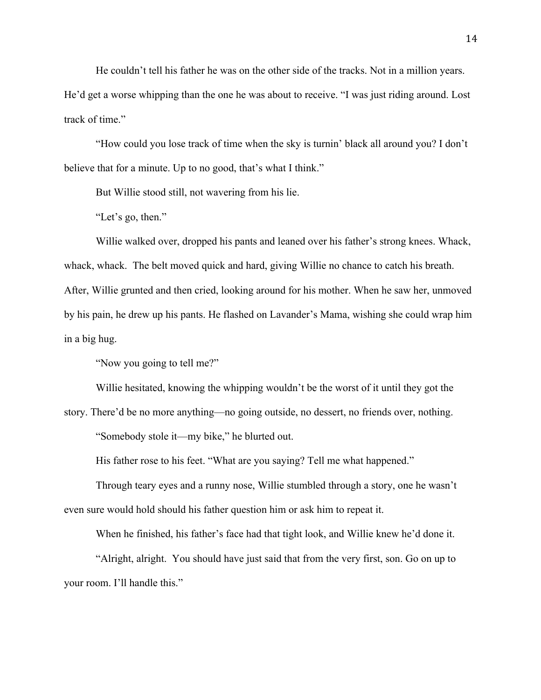He couldn't tell his father he was on the other side of the tracks. Not in a million years.

He'd get a worse whipping than the one he was about to receive. "I was just riding around. Lost track of time."

"How could you lose track of time when the sky is turnin' black all around you? I don't believe that for a minute. Up to no good, that's what I think."

But Willie stood still, not wavering from his lie.

"Let's go, then."

Willie walked over, dropped his pants and leaned over his father's strong knees. Whack, whack, whack. The belt moved quick and hard, giving Willie no chance to catch his breath. After, Willie grunted and then cried, looking around for his mother. When he saw her, unmoved by his pain, he drew up his pants. He flashed on Lavander's Mama, wishing she could wrap him in a big hug.

"Now you going to tell me?"

Willie hesitated, knowing the whipping wouldn't be the worst of it until they got the

story. There'd be no more anything—no going outside, no dessert, no friends over, nothing.

"Somebody stole it—my bike," he blurted out.

His father rose to his feet. "What are you saying? Tell me what happened."

Through teary eyes and a runny nose, Willie stumbled through a story, one he wasn't even sure would hold should his father question him or ask him to repeat it.

When he finished, his father's face had that tight look, and Willie knew he'd done it.

"Alright, alright. You should have just said that from the very first, son. Go on up to your room. I'll handle this."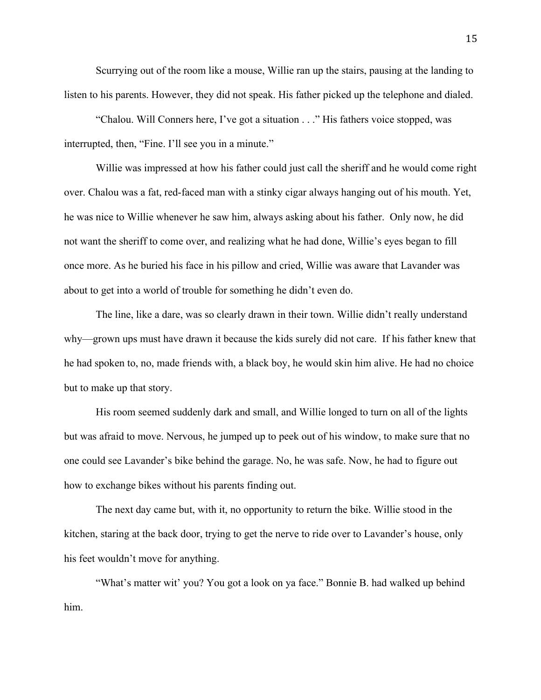Scurrying out of the room like a mouse, Willie ran up the stairs, pausing at the landing to listen to his parents. However, they did not speak. His father picked up the telephone and dialed.

"Chalou. Will Conners here, I've got a situation . . ." His fathers voice stopped, was interrupted, then, "Fine. I'll see you in a minute."

Willie was impressed at how his father could just call the sheriff and he would come right over. Chalou was a fat, red-faced man with a stinky cigar always hanging out of his mouth. Yet, he was nice to Willie whenever he saw him, always asking about his father. Only now, he did not want the sheriff to come over, and realizing what he had done, Willie's eyes began to fill once more. As he buried his face in his pillow and cried, Willie was aware that Lavander was about to get into a world of trouble for something he didn't even do.

The line, like a dare, was so clearly drawn in their town. Willie didn't really understand why—grown ups must have drawn it because the kids surely did not care. If his father knew that he had spoken to, no, made friends with, a black boy, he would skin him alive. He had no choice but to make up that story.

His room seemed suddenly dark and small, and Willie longed to turn on all of the lights but was afraid to move. Nervous, he jumped up to peek out of his window, to make sure that no one could see Lavander's bike behind the garage. No, he was safe. Now, he had to figure out how to exchange bikes without his parents finding out.

The next day came but, with it, no opportunity to return the bike. Willie stood in the kitchen, staring at the back door, trying to get the nerve to ride over to Lavander's house, only his feet wouldn't move for anything.

"What's matter wit' you? You got a look on ya face." Bonnie B. had walked up behind him.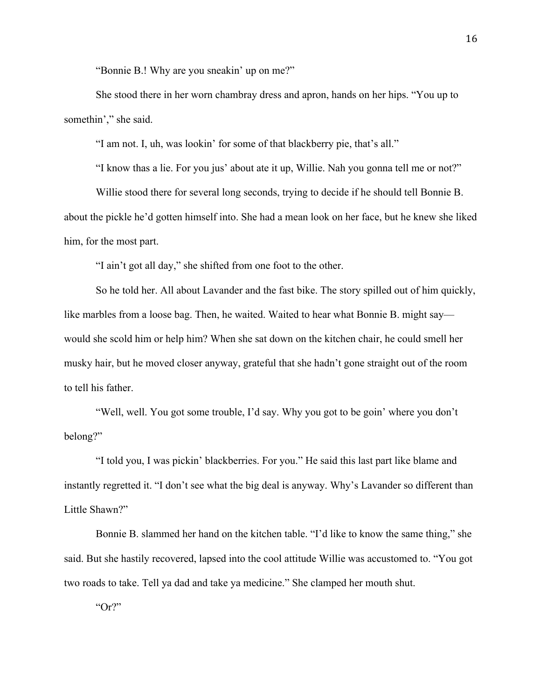"Bonnie B.! Why are you sneakin' up on me?"

She stood there in her worn chambray dress and apron, hands on her hips. "You up to somethin'," she said.

"I am not. I, uh, was lookin' for some of that blackberry pie, that's all."

"I know thas a lie. For you jus' about ate it up, Willie. Nah you gonna tell me or not?"

Willie stood there for several long seconds, trying to decide if he should tell Bonnie B. about the pickle he'd gotten himself into. She had a mean look on her face, but he knew she liked him, for the most part.

"I ain't got all day," she shifted from one foot to the other.

So he told her. All about Lavander and the fast bike. The story spilled out of him quickly, like marbles from a loose bag. Then, he waited. Waited to hear what Bonnie B. might say would she scold him or help him? When she sat down on the kitchen chair, he could smell her musky hair, but he moved closer anyway, grateful that she hadn't gone straight out of the room to tell his father.

"Well, well. You got some trouble, I'd say. Why you got to be goin' where you don't belong?"

"I told you, I was pickin' blackberries. For you." He said this last part like blame and instantly regretted it. "I don't see what the big deal is anyway. Why's Lavander so different than Little Shawn?"

Bonnie B. slammed her hand on the kitchen table. "I'd like to know the same thing," she said. But she hastily recovered, lapsed into the cool attitude Willie was accustomed to. "You got two roads to take. Tell ya dad and take ya medicine." She clamped her mouth shut.

"Or?"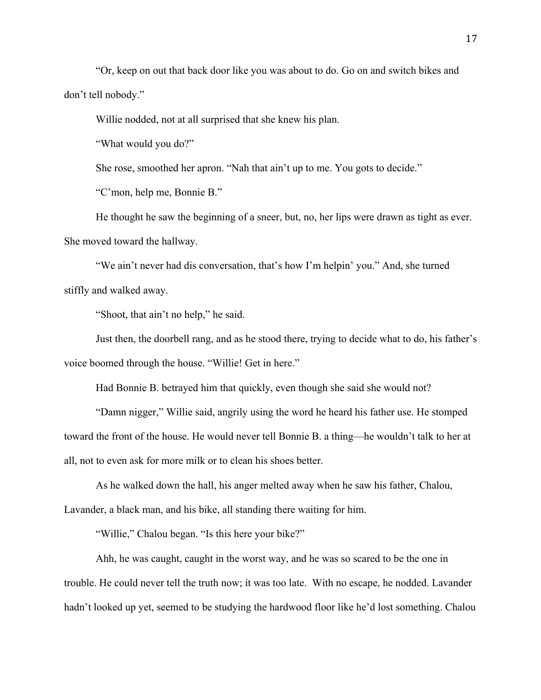"Or, keep on out that back door like you was about to do. Go on and switch bikes and don't tell nobody."

Willie nodded, not at all surprised that she knew his plan.

"What would you do?"

She rose, smoothed her apron. "Nah that ain't up to me. You gots to decide."

"C'mon, help me, Bonnie B."

He thought he saw the beginning of a sneer, but, no, her lips were drawn as tight as ever. She moved toward the hallway.

"We ain't never had dis conversation, that's how I'm helpin' you." And, she turned stiffly and walked away.

"Shoot, that ain't no help," he said.

Just then, the doorbell rang, and as he stood there, trying to decide what to do, his father's voice boomed through the house. "Willie! Get in here."

Had Bonnie B. betrayed him that quickly, even though she said she would not?

"Damn nigger," Willie said, angrily using the word he heard his father use. He stomped toward the front of the house. He would never tell Bonnie B. a thing—he wouldn't talk to her at all, not to even ask for more milk or to clean his shoes better.

As he walked down the hall, his anger melted away when he saw his father, Chalou, Lavander, a black man, and his bike, all standing there waiting for him.

"Willie," Chalou began. "Is this here your bike?"

Ahh, he was caught, caught in the worst way, and he was so scared to be the one in trouble. He could never tell the truth now; it was too late. With no escape, he nodded. Lavander hadn't looked up yet, seemed to be studying the hardwood floor like he'd lost something. Chalou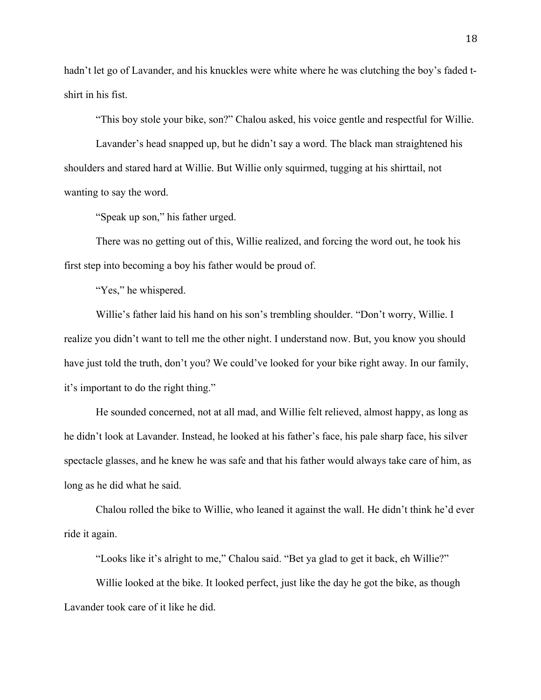hadn't let go of Lavander, and his knuckles were white where he was clutching the boy's faded tshirt in his fist.

"This boy stole your bike, son?" Chalou asked, his voice gentle and respectful for Willie.

Lavander's head snapped up, but he didn't say a word. The black man straightened his shoulders and stared hard at Willie. But Willie only squirmed, tugging at his shirttail, not wanting to say the word.

"Speak up son," his father urged.

There was no getting out of this, Willie realized, and forcing the word out, he took his first step into becoming a boy his father would be proud of.

"Yes," he whispered.

Willie's father laid his hand on his son's trembling shoulder. "Don't worry, Willie. I realize you didn't want to tell me the other night. I understand now. But, you know you should have just told the truth, don't you? We could've looked for your bike right away. In our family, it's important to do the right thing."

He sounded concerned, not at all mad, and Willie felt relieved, almost happy, as long as he didn't look at Lavander. Instead, he looked at his father's face, his pale sharp face, his silver spectacle glasses, and he knew he was safe and that his father would always take care of him, as long as he did what he said.

Chalou rolled the bike to Willie, who leaned it against the wall. He didn't think he'd ever ride it again.

"Looks like it's alright to me," Chalou said. "Bet ya glad to get it back, eh Willie?"

Willie looked at the bike. It looked perfect, just like the day he got the bike, as though Lavander took care of it like he did.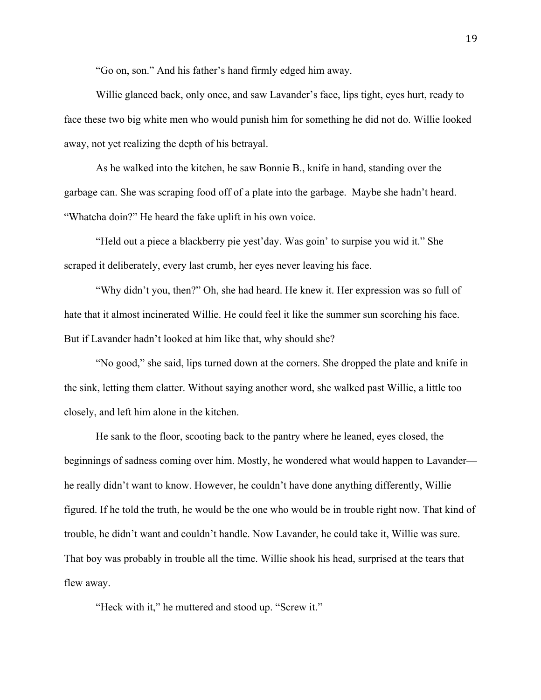"Go on, son." And his father's hand firmly edged him away.

Willie glanced back, only once, and saw Lavander's face, lips tight, eyes hurt, ready to face these two big white men who would punish him for something he did not do. Willie looked away, not yet realizing the depth of his betrayal.

As he walked into the kitchen, he saw Bonnie B., knife in hand, standing over the garbage can. She was scraping food off of a plate into the garbage. Maybe she hadn't heard. "Whatcha doin?" He heard the fake uplift in his own voice.

"Held out a piece a blackberry pie yest'day. Was goin' to surpise you wid it." She scraped it deliberately, every last crumb, her eyes never leaving his face.

"Why didn't you, then?" Oh, she had heard. He knew it. Her expression was so full of hate that it almost incinerated Willie. He could feel it like the summer sun scorching his face. But if Lavander hadn't looked at him like that, why should she?

"No good," she said, lips turned down at the corners. She dropped the plate and knife in the sink, letting them clatter. Without saying another word, she walked past Willie, a little too closely, and left him alone in the kitchen.

He sank to the floor, scooting back to the pantry where he leaned, eyes closed, the beginnings of sadness coming over him. Mostly, he wondered what would happen to Lavander he really didn't want to know. However, he couldn't have done anything differently, Willie figured. If he told the truth, he would be the one who would be in trouble right now. That kind of trouble, he didn't want and couldn't handle. Now Lavander, he could take it, Willie was sure. That boy was probably in trouble all the time. Willie shook his head, surprised at the tears that flew away.

"Heck with it," he muttered and stood up. "Screw it."